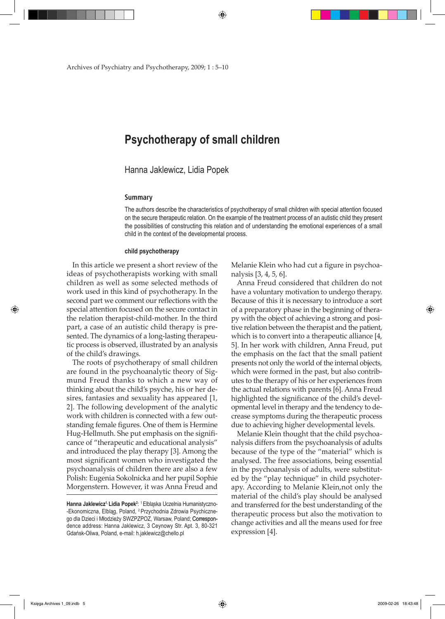Archives of Psychiatry and Psychotherapy, 2009; 1 : 5–10

# **Psychotherapy of small children**

Hanna Jaklewicz, Lidia Popek

#### **Summary**

The authors describe the characteristics of psychotherapy of small children with special attention focused on the secure therapeutic relation. On the example of the treatment process of an autistic child they present the possibilities of constructing this relation and of understanding the emotional experiences of a small child in the context of the developmental process.

#### **child psychotherapy**

In this article we present a short review of the ideas of psychotherapists working with small children as well as some selected methods of work used in this kind of psychotherapy. In the second part we comment our reflections with the special attention focused on the secure contact in the relation therapist-child-mother. In the third part, a case of an autistic child therapy is presented. The dynamics of a long-lasting therapeutic process is observed, illustrated by an analysis of the child's drawings.

The roots of psychotherapy of small children are found in the psychoanalytic theory of Sigmund Freud thanks to which a new way of thinking about the child's psyche, his or her desires, fantasies and sexuality has appeared [1, 2]. The following development of the analytic work with children is connected with a few outstanding female figures. One of them is Hermine Hug-Hellmuth. She put emphasis on the significance of "therapeutic and educational analysis" and introduced the play therapy [3]. Among the most significant women who investigated the psychoanalysis of children there are also a few Polish: Eugenia Sokolnicka and her pupil Sophie Morgenstern. However, it was Anna Freud and

Melanie Klein who had cut a figure in psychoanalysis [3, 4, 5, 6].

Anna Freud considered that children do not have a voluntary motivation to undergo therapy. Because of this it is necessary to introduce a sort of a preparatory phase in the beginning of therapy with the object of achieving a strong and positive relation between the therapist and the patient, which is to convert into a therapeutic alliance [4, 5]. In her work with children, Anna Freud, put the emphasis on the fact that the small patient presents not only the world of the internal objects, which were formed in the past, but also contributes to the therapy of his or her experiences from the actual relations with parents [6]. Anna Freud highlighted the significance of the child's developmental level in therapy and the tendency to decrease symptoms during the therapeutic process due to achieving higher developmental levels.

Melanie Klein thought that the child psychoanalysis differs from the psychoanalysis of adults because of the type of the "material" which is analysed. The free associations, being essential in the psychoanalysis of adults, were substituted by the "play technique" in child psychoterapy. According to Melanie Klein,not only the material of the child's play should be analysed and transferred for the best understanding of the therapeutic process but also the motivation to change activities and all the means used for free expression [4].

Księga Archives 1\_09.indb 5 2009-02-26 18:43:48

⊕

**Hanna Jaklewicz1, Lidia Popek<sup>2</sup>** : 1 Elbląska Uczelnia Humanistyczno- -Ekonomiczna, Elbląg, Poland, <sup>2</sup> Przychodnia Zdrowia Psychicznego dla Dzieci i Młodzieży SWZPZPOZ, Warsaw, Poland; Correspondence address: Hanna Jaklewicz, 3 Ceynowy Str. Apt. 3, 80-321 Gdańsk-Oliwa, Poland, e-mail: h.jaklewicz@chello.pl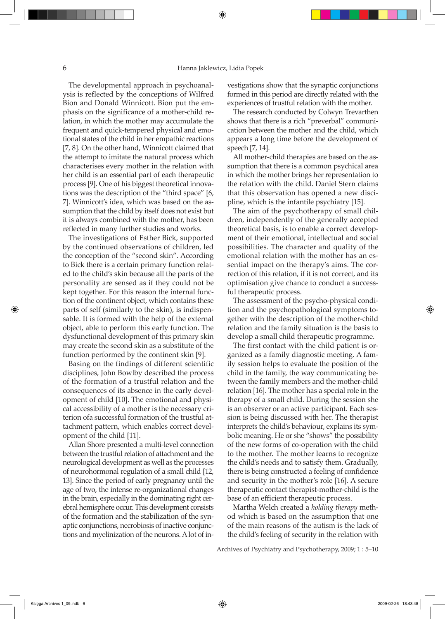The developmental approach in psychoanalysis is reflected by the conceptions of Wilfred Bion and Donald Winnicott. Bion put the emphasis on the significance of a mother-child relation, in which the mother may accumulate the frequent and quick-tempered physical and emotional states of the child in her empathic reactions [7, 8]. On the other hand, Winnicott claimed that the attempt to imitate the natural process which characterises every mother in the relation with her child is an essential part of each therapeutic process [9]. One of his biggest theoretical innovations was the description of the "third space" [6, 7]. Winnicott's idea, which was based on the assumption that the child by itself does not exist but it is always combined with the mother, has been reflected in many further studies and works.

The investigations of Esther Bick, supported by the continued observations of children, led the conception of the "second skin". According to Bick there is a certain primary function related to the child's skin because all the parts of the personality are sensed as if they could not be kept together. For this reason the internal function of the continent object, which contains these parts of self (similarly to the skin), is indispensable. It is formed with the help of the external object, able to perform this early function. The dysfunctional development of this primary skin may create the second skin as a substitute of the function performed by the continent skin [9].

Basing on the findings of different scientific disciplines, John Bowlby described the process of the formation of a trustful relation and the consequences of its absence in the early development of child [10]. The emotional and physical accessibility of a mother is the necessary criterion ofa successful formation of the trustful attachment pattern, which enables correct development of the child [11].

Allan Shore presented a multi-level connection between the trustful relation of attachment and the neurological development as well as the processes of neurohormonal regulation of a small child [12, 13]. Since the period of early pregnancy until the age of two, the intense re-organizational changes in the brain, especially in the dominating right cerebral hemisphere occur. This development consists of the formation and the stabilization of the synaptic conjunctions, necrobiosis of inactive conjunctions and myelinization of the neurons. A lot of investigations show that the synaptic conjunctions formed in this period are directly related with the experiences of trustful relation with the mother.

The research conducted by Colwyn Trevarthen shows that there is a rich "preverbal" communication between the mother and the child, which appears a long time before the development of speech [7, 14].

All mother-child therapies are based on the assumption that there is a common psychical area in which the mother brings her representation to the relation with the child. Daniel Stern claims that this observation has opened a new discipline, which is the infantile psychiatry [15].

The aim of the psychotherapy of small children, independently of the generally accepted theoretical basis, is to enable a correct development of their emotional, intellectual and social possibilities. The character and quality of the emotional relation with the mother has an essential impact on the therapy's aims. The correction of this relation, if it is not correct, and its optimisation give chance to conduct a successful therapeutic process.

The assessment of the psycho-physical condition and the psychopathological symptoms together with the description of the mother-child relation and the family situation is the basis to develop a small child therapeutic programme.

The first contact with the child patient is organized as a family diagnostic meeting. A family session helps to evaluate the position of the child in the family, the way communicating between the family members and the mother-child relation [16]. The mother has a special role in the therapy of a small child. During the session she is an observer or an active participant. Each session is being discussed with her. The therapist interprets the child's behaviour, explains its symbolic meaning. He or she "shows" the possibility of the new forms of co-operation with the child to the mother. The mother learns to recognize the child's needs and to satisfy them. Gradually, there is being constructed a feeling of confidence and security in the mother's role [16]. A secure therapeutic contact therapist-mother-child is the base of an efficient therapeutic process.

Martha Welch created a *holding therapy* method which is based on the assumption that one of the main reasons of the autism is the lack of the child's feeling of security in the relation with

Archives of Psychiatry and Psychotherapy, 2009; 1 : 5–10

⊕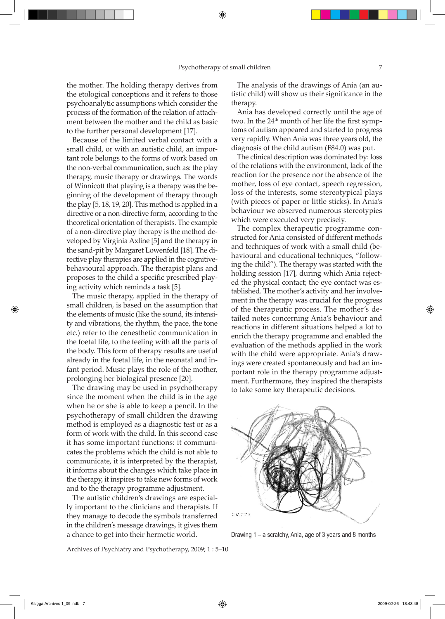the mother. The holding therapy derives from the etological conceptions and it refers to those psychoanalytic assumptions which consider the process of the formation of the relation of attachment between the mother and the child as basic to the further personal development [17].

Because of the limited verbal contact with a small child, or with an autistic child, an important role belongs to the forms of work based on the non-verbal communication, such as: the play therapy, music therapy or drawings. The words of Winnicott that playing is a therapy was the beginning of the development of therapy through the play [5, 18, 19, 20]. This method is applied in a directive or a non-directive form, according to the theoretical orientation of therapists. The example of a non-directive play therapy is the method developed by Virginia Axline [5] and the therapy in the sand-pit by Margaret Lowenfeld [18]. The directive play therapies are applied in the cognitivebehavioural approach. The therapist plans and proposes to the child a specific prescribed playing activity which reminds a task [5].

The music therapy, applied in the therapy of small children, is based on the assumption that the elements of music (like the sound, its intensity and vibrations, the rhythm, the pace, the tone etc.) refer to the cenesthetic communication in the foetal life, to the feeling with all the parts of the body. This form of therapy results are useful already in the foetal life, in the neonatal and infant period. Music plays the role of the mother, prolonging her biological presence [20].

The drawing may be used in psychotherapy since the moment when the child is in the age when he or she is able to keep a pencil. In the psychotherapy of small children the drawing method is employed as a diagnostic test or as a form of work with the child. In this second case it has some important functions: it communicates the problems which the child is not able to communicate, it is interpreted by the therapist, it informs about the changes which take place in the therapy, it inspires to take new forms of work and to the therapy programme adjustment.

The autistic children's drawings are especially important to the clinicians and therapists. If they manage to decode the symbols transferred in the children's message drawings, it gives them a chance to get into their hermetic world.

The analysis of the drawings of Ania (an autistic child) will show us their significance in the therapy.

Ania has developed correctly until the age of two. In the  $24<sup>th</sup>$  month of her life the first symptoms of autism appeared and started to progress very rapidly. When Ania was three years old, the diagnosis of the child autism (F84.0) was put.

The clinical description was dominated by: loss of the relations with the environment, lack of the reaction for the presence nor the absence of the mother, loss of eye contact, speech regression, loss of the interests, some stereotypical plays (with pieces of paper or little sticks). In Ania's behaviour we observed numerous stereotypies which were executed very precisely.

The complex therapeutic programme constructed for Ania consisted of different methods and techniques of work with a small child (behavioural and educational techniques, "following the child"). The therapy was started with the holding session [17], during which Ania rejected the physical contact; the eye contact was established. The mother's activity and her involvement in the therapy was crucial for the progress of the therapeutic process. The mother's detailed notes concerning Ania's behaviour and reactions in different situations helped a lot to enrich the therapy programme and enabled the evaluation of the methods applied in the work with the child were appropriate. Ania's drawings were created spontaneously and had an important role in the therapy programme adjustment. Furthermore, they inspired the therapists to take some key therapeutic decisions.



Drawing 1 – a scratchy, Ania, age of 3 years and 8 months

Archives of Psychiatry and Psychotherapy, 2009; 1 : 5–10

⊕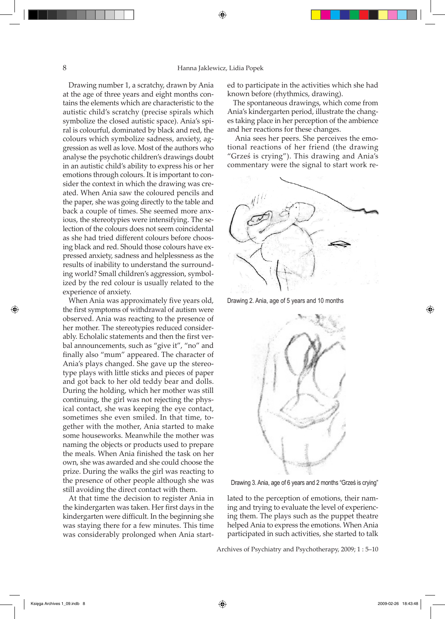### 8 Hanna Jaklewicz, Lidia Popek

⊕

Drawing number 1, a scratchy, drawn by Ania at the age of three years and eight months contains the elements which are characteristic to the autistic child's scratchy (precise spirals which symbolize the closed autistic space). Ania's spiral is colourful, dominated by black and red, the colours which symbolize sadness, anxiety, aggression as well as love. Most of the authors who analyse the psychotic children's drawings doubt in an autistic child's ability to express his or her emotions through colours. It is important to consider the context in which the drawing was created. When Ania saw the coloured pencils and the paper, she was going directly to the table and back a couple of times. She seemed more anxious, the stereotypies were intensifying. The selection of the colours does not seem coincidental as she had tried different colours before choosing black and red. Should those colours have expressed anxiety, sadness and helplessness as the results of inability to understand the surrounding world? Small children's aggression, symbolized by the red colour is usually related to the experience of anxiety.

When Ania was approximately five years old, the first symptoms of withdrawal of autism were observed. Ania was reacting to the presence of her mother. The stereotypies reduced considerably. Echolalic statements and then the first verbal announcements, such as "give it", "no" and finally also "mum" appeared. The character of Ania's plays changed. She gave up the stereotype plays with little sticks and pieces of paper and got back to her old teddy bear and dolls. During the holding, which her mother was still continuing, the girl was not rejecting the physical contact, she was keeping the eye contact, sometimes she even smiled. In that time, together with the mother, Ania started to make some houseworks. Meanwhile the mother was naming the objects or products used to prepare the meals. When Ania finished the task on her own, she was awarded and she could choose the prize. During the walks the girl was reacting to the presence of other people although she was still avoiding the direct contact with them.

At that time the decision to register Ania in the kindergarten was taken. Her first days in the kindergarten were difficult. In the beginning she was staying there for a few minutes. This time was considerably prolonged when Ania started to participate in the activities which she had known before (rhythmics, drawing).

The spontaneous drawings, which come from Ania's kindergarten period, illustrate the changes taking place in her perception of the ambience and her reactions for these changes.

Ania sees her peers. She perceives the emotional reactions of her friend (the drawing "Grześ is crying"). This drawing and Ania's commentary were the signal to start work re-







Drawing 3. Ania, age of 6 years and 2 months "Grześ is crying"

lated to the perception of emotions, their naming and trying to evaluate the level of experiencing them. The plays such as the puppet theatre helped Ania to express the emotions. When Ania participated in such activities, she started to talk

Archives of Psychiatry and Psychotherapy, 2009; 1 : 5–10

⊕

♠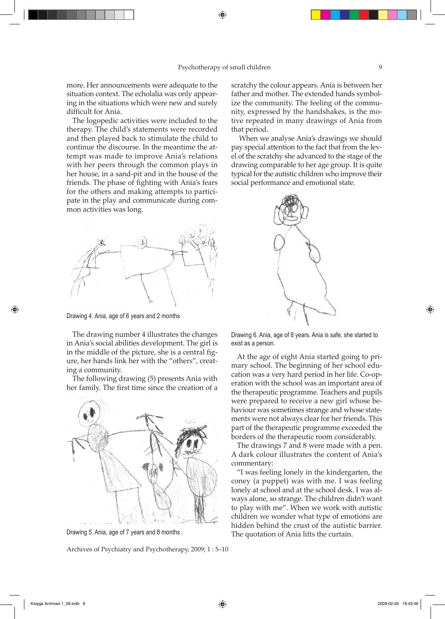more. Her announcements were adequate to the situation context. The echolalia was only appearing in the situations which were new and surely difficult for Ania.

The logopedic activities were included to the therapy. The child's statements were recorded and then played back to stimulate the child to continue the discourse. In the meantime the attempt was made to improve Ania's relations with her peers through the common plays in her house, in a sand-pit and in the house of the friends. The phase of fighting with Ania's fears for the others and making attempts to participate in the play and communicate during common activities was long.



Drawing 4. Ania, age of 6 years and 2 months

The drawing number 4 illustrates the changes in Ania's social abilities development. The girl is in the middle of the picture, she is a central figure, her hands link her with the "others", creating a community.

The following drawing (5) presents Ania with her family. The first time since the creation of a



Drawing 5. Ania, age of 7 years and 8 months .

Archives of Psychiatry and Psychotherapy, 2009; 1 : 5–10

scratchy the colour appears. Ania is between her father and mother. The extended hands symbolize the community. The feeling of the community, expressed by the handshakes, is the motive repeated in many drawings of Ania from that period.

When we analyse Ania's drawings we should pay special attention to the fact that from the level of the scratchy she advanced to the stage of the drawing comparable to her age group. It is quite typical for the autistic children who improve their social performance and emotional state.



Drawing 6. Ania, age of 8 years. Ania is safe, she started to exist as a person.

At the age of eight Ania started going to primary school. The beginning of her school education was a very hard period in her life. Co-operation with the school was an important area of the therapeutic programme. Teachers and pupils were prepared to receive a new girl whose behaviour was sometimes strange and whose statements were not always clear for her friends. This part of the therapeutic programme exceeded the borders of the therapeutic room considerably.

The drawings 7 and 8 were made with a pen. A dark colour illustrates the content of Ania's commentary:

"I was feeling lonely in the kindergarten, the coney (a puppet) was with me. I was feeling lonely at school and at the school desk. I was always alone, so strange. The children didn't want to play with me". When we work with autistic children we wonder what type of emotions are hidden behind the crust of the autistic barrier. The quotation of Ania lifts the curtain.

♠